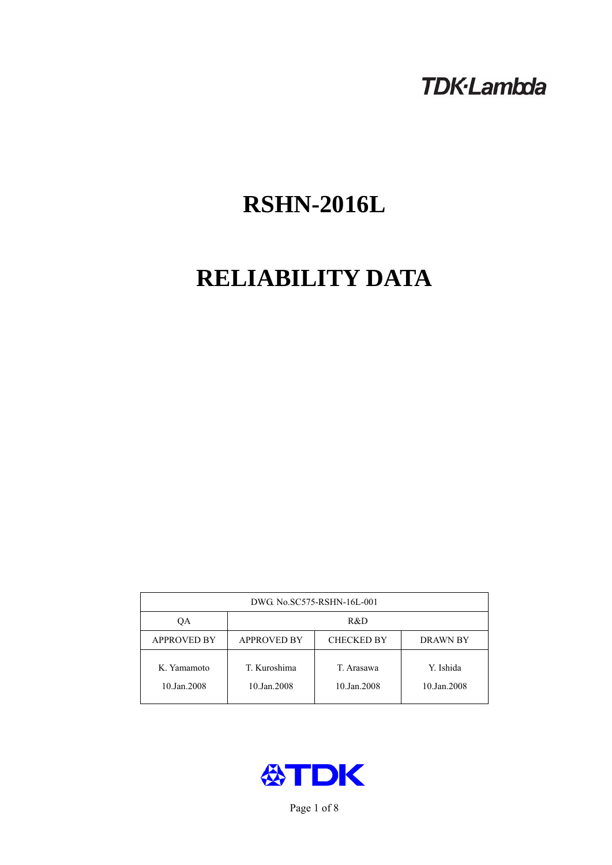# **TDK-Lambda**

# **RSHN-2016L**

# **RELIABILITY DATA**

| DWG. No.SC575-RSHN-16L-001 |                                                     |                           |                          |  |  |
|----------------------------|-----------------------------------------------------|---------------------------|--------------------------|--|--|
| ОA                         | R&D                                                 |                           |                          |  |  |
| <b>APPROVED BY</b>         | <b>APPROVED BY</b><br><b>CHECKED BY</b><br>DRAWN BY |                           |                          |  |  |
| K. Yamamoto<br>10.Jan.2008 | T. Kuroshima<br>10.Jan.2008                         | T. Arasawa<br>10.Jan.2008 | Y. Ishida<br>10.Jan.2008 |  |  |



Page 1 of 8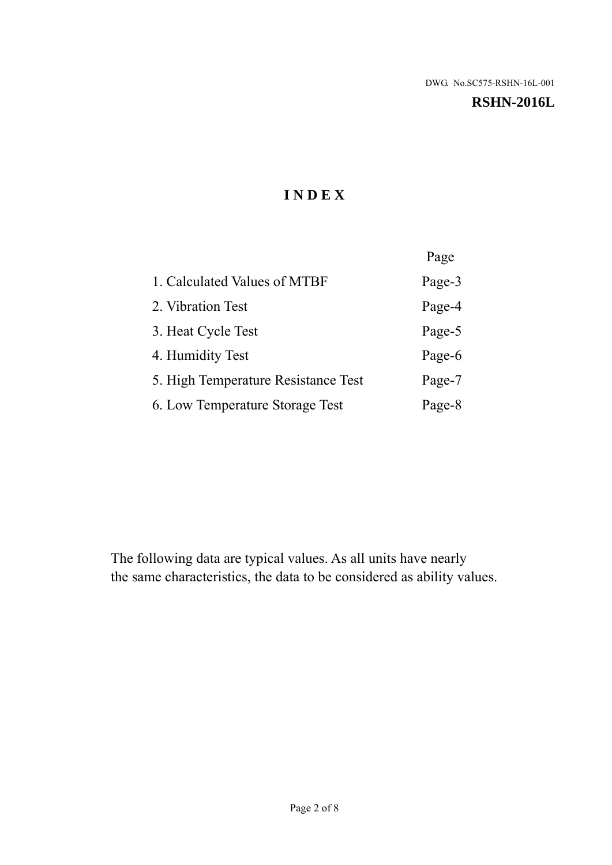#### **RSHN-2016L**

# **I N D E X**

|                                     | Page   |
|-------------------------------------|--------|
| 1. Calculated Values of MTBF        | Page-3 |
| 2. Vibration Test                   | Page-4 |
| 3. Heat Cycle Test                  | Page-5 |
| 4. Humidity Test                    | Page-6 |
| 5. High Temperature Resistance Test | Page-7 |
| 6. Low Temperature Storage Test     | Page-8 |

The following data are typical values. As all units have nearly the same characteristics, the data to be considered as ability values.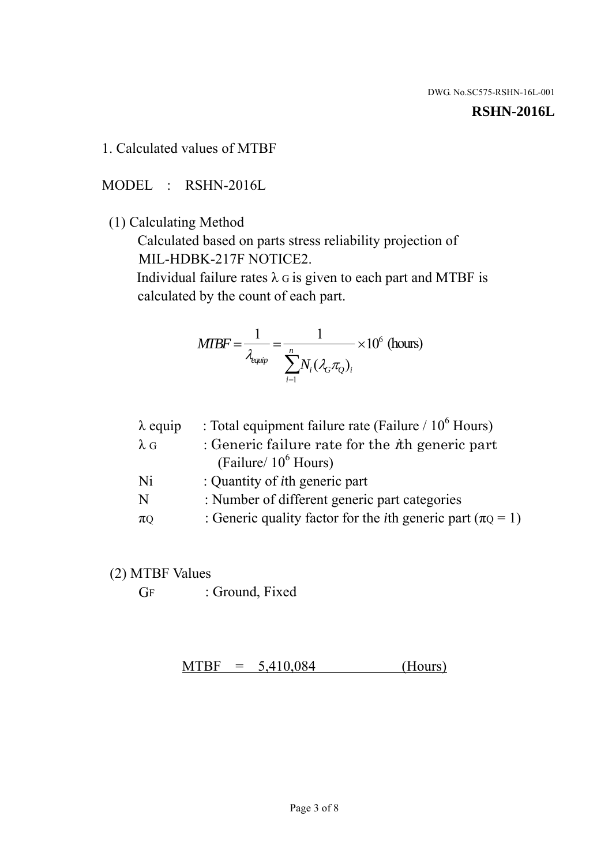#### **RSHN-2016L**

1. Calculated values of MTBF

MODEL : RSHN-2016L

(1) Calculating Method

 Calculated based on parts stress reliability projection of MIL-HDBK-217F NOTICE2.

Individual failure rates  $\lambda$  G is given to each part and MTBF is calculated by the count of each part.

$$
MTBF = \frac{1}{\lambda_{\text{equip}}} = \frac{1}{\sum_{i=1}^{n} N_i (\lambda_G \pi_Q)_i} \times 10^6 \text{ (hours)}
$$

| : Total equipment failure rate (Failure / $10^6$ Hours)                   |
|---------------------------------------------------------------------------|
| : Generic failure rate for the $\hbar$ generic part                       |
| (Failure/ $10^6$ Hours)                                                   |
| : Quantity of <i>i</i> th generic part                                    |
| : Number of different generic part categories                             |
| : Generic quality factor for the <i>i</i> th generic part ( $\pi Q = 1$ ) |
|                                                                           |

- (2) MTBF Values
	- GF : Ground, Fixed

 $MTBF = 5,410,084$  (Hours)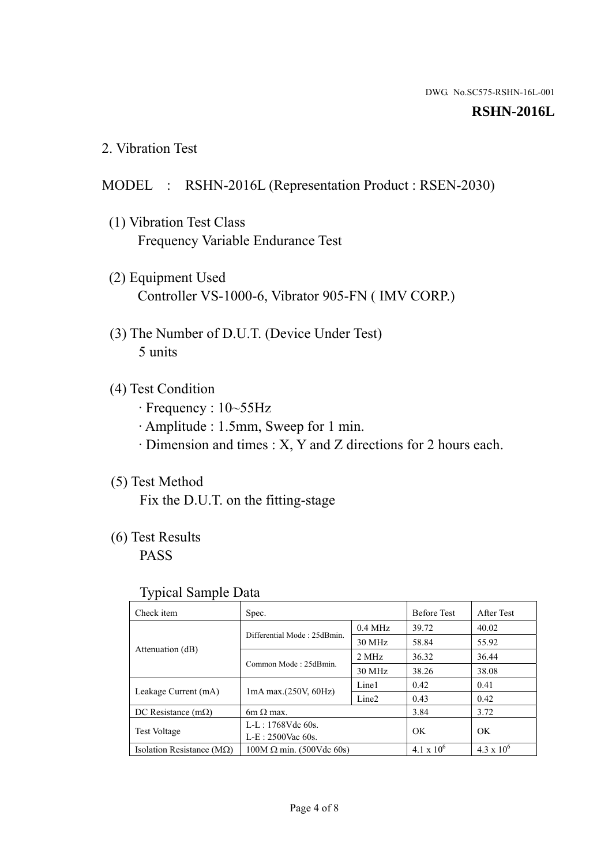#### **RSHN-2016L**

2. Vibration Test

### MODEL : RSHN-2016L (Representation Product : RSEN-2030)

- (1) Vibration Test Class Frequency Variable Endurance Test
- (2) Equipment Used Controller VS-1000-6, Vibrator 905-FN ( IMV CORP.)
- (3) The Number of D.U.T. (Device Under Test) 5 units
- (4) Test Condition
	- · Frequency : 10~55Hz
	- · Amplitude : 1.5mm, Sweep for 1 min.
	- · Dimension and times : X, Y and Z directions for 2 hours each.

# (5) Test Method

Fix the D.U.T. on the fitting-stage

# (6) Test Results

PASS

#### Typical Sample Data

| . .                           |                                    |                   |                     |                     |
|-------------------------------|------------------------------------|-------------------|---------------------|---------------------|
| Check item                    | Spec.                              |                   | <b>Before Test</b>  | After Test          |
|                               | Differential Mode: 25dBmin.        | $0.4$ MHz         | 39.72               | 40.02               |
|                               |                                    | 30 MHz            | 58.84               | 55.92               |
| Attenuation (dB)              | Common Mode: 25dBmin.              | 2 MHz             | 36.32               | 36.44               |
|                               |                                    | 30 MHz            | 38.26               | 38.08               |
| Leakage Current (mA)          | Line1<br>$1mA$ max. $(250V, 60Hz)$ |                   | 0.42                | 0.41                |
|                               |                                    | Line <sub>2</sub> | 0.43                | 0.42                |
| DC Resistance $(m\Omega)$     | 6m $\Omega$ max.                   |                   | 3.84                | 3.72                |
| <b>Test Voltage</b>           | $L-L: 1768Vdc$ 60s.                |                   | OK                  | OK.                 |
|                               | $L-E$ : 2500Vac 60s.               |                   |                     |                     |
| Isolation Resistance ( $MQ$ ) | $100M \Omega$ min. (500Vdc 60s)    |                   | $4.1 \times 10^{6}$ | $4.3 \times 10^{6}$ |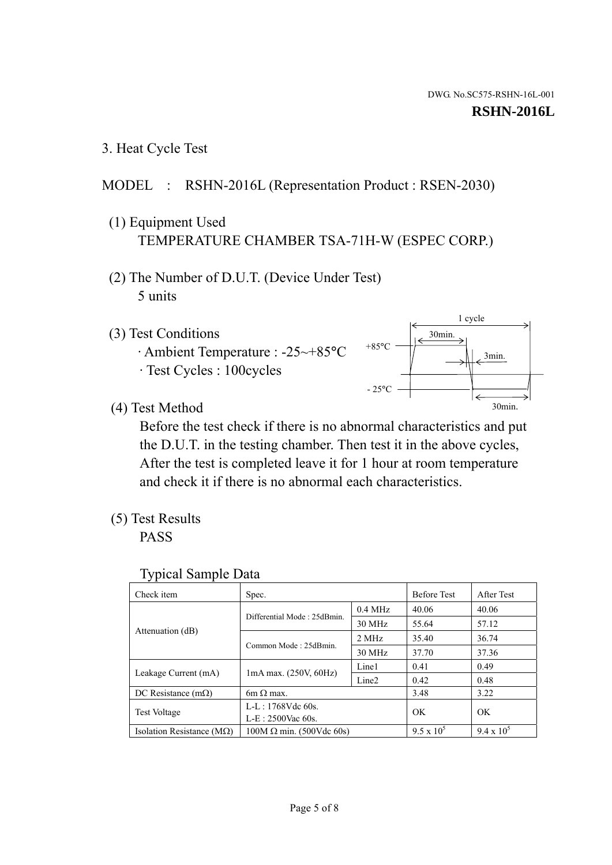3. Heat Cycle Test

# MODEL : RSHN-2016L (Representation Product : RSEN-2030)

- (1) Equipment Used TEMPERATURE CHAMBER TSA-71H-W (ESPEC CORP.)
- (2) The Number of D.U.T. (Device Under Test) 5 units
- (3) Test Conditions
	- · Ambient Temperature : -25~+85°C · Test Cycles : 100cycles



(4) Test Method

 Before the test check if there is no abnormal characteristics and put the D.U.T. in the testing chamber. Then test it in the above cycles, After the test is completed leave it for 1 hour at room temperature and check it if there is no abnormal each characteristics.

(5) Test Results

PASS

| <b>Typical Sample Data</b> |  |  |
|----------------------------|--|--|
|----------------------------|--|--|

| Check item                    | Spec.                           |                   | <b>Before Test</b> | After Test        |
|-------------------------------|---------------------------------|-------------------|--------------------|-------------------|
|                               |                                 | $0.4$ MHz         | 40.06              | 40.06             |
|                               | Differential Mode: 25dBmin.     | 30 MHz            | 55.64              | 57.12             |
| Attenuation (dB)              | Common Mode: 25dBmin.           | 2 MHz             | 35.40              | 36.74             |
|                               |                                 | 30 MHz            | 37.70              | 37.36             |
| Leakage Current (mA)          | $1mA$ max. $(250V, 60Hz)$       | Line1             | 0.41               | 0.49              |
|                               |                                 | Line <sub>2</sub> | 0.42               | 0.48              |
| DC Resistance $(m\Omega)$     | $6m \Omega$ max.                |                   | 3.48               | 3.22              |
| <b>Test Voltage</b>           | L-L: $1768V$ de $60s$ .         |                   | OK                 | OK                |
|                               | $L-E: 2500$ Vac 60s.            |                   |                    |                   |
| Isolation Resistance ( $MQ$ ) | $100M \Omega$ min. (500Vdc 60s) |                   | $9.5 \times 10^5$  | $9.4 \times 10^5$ |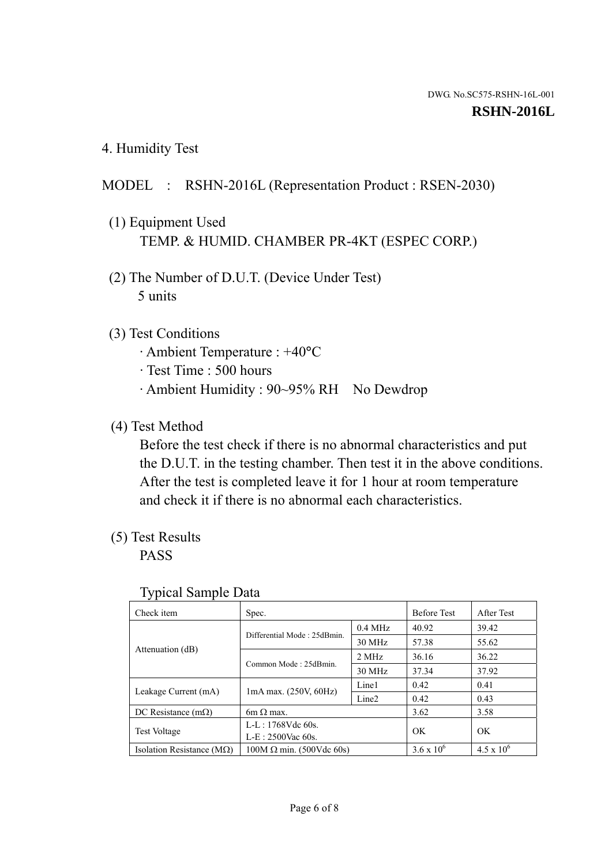4. Humidity Test

# MODEL : RSHN-2016L (Representation Product : RSEN-2030)

- (1) Equipment Used TEMP. & HUMID. CHAMBER PR-4KT (ESPEC CORP.)
- (2) The Number of D.U.T. (Device Under Test) 5 units

# (3) Test Conditions

- · Ambient Temperature : +40°C
- · Test Time : 500 hours
- · Ambient Humidity : 90~95% RH No Dewdrop

# (4) Test Method

 Before the test check if there is no abnormal characteristics and put the D.U.T. in the testing chamber. Then test it in the above conditions. After the test is completed leave it for 1 hour at room temperature and check it if there is no abnormal each characteristics.

# (5) Test Results

PASS

| . .                                |                                 |                   |                     |                     |
|------------------------------------|---------------------------------|-------------------|---------------------|---------------------|
| Check item                         | Spec.                           |                   | <b>Before Test</b>  | After Test          |
|                                    | Differential Mode: 25dBmin.     | $0.4$ MHz         | 40.92               | 39.42               |
|                                    |                                 | 30 MHz            | 57.38               | 55.62               |
| Attenuation (dB)                   | Common Mode: 25dBmin.           | 2 MHz             | 36.16               | 36.22               |
|                                    |                                 | 30 MHz            | 37.34               | 37.92               |
| Leakage Current (mA)               | $1mA$ max. $(250V, 60Hz)$       | Line1             | 0.42                | 0.41                |
|                                    |                                 | Line <sub>2</sub> | 0.42                | 0.43                |
| DC Resistance (m $\Omega$ )        | $6m \Omega$ max.                |                   | 3.62                | 3.58                |
| <b>Test Voltage</b>                | $L-L: 1768Vdc$ 60s.             |                   | OK                  | OK.                 |
|                                    | $L-E$ : 2500Vac 60s.            |                   |                     |                     |
| Isolation Resistance ( $M\Omega$ ) | $100M \Omega$ min. (500Vdc 60s) |                   | $3.6 \times 10^{6}$ | $4.5 \times 10^{6}$ |

#### Typical Sample Data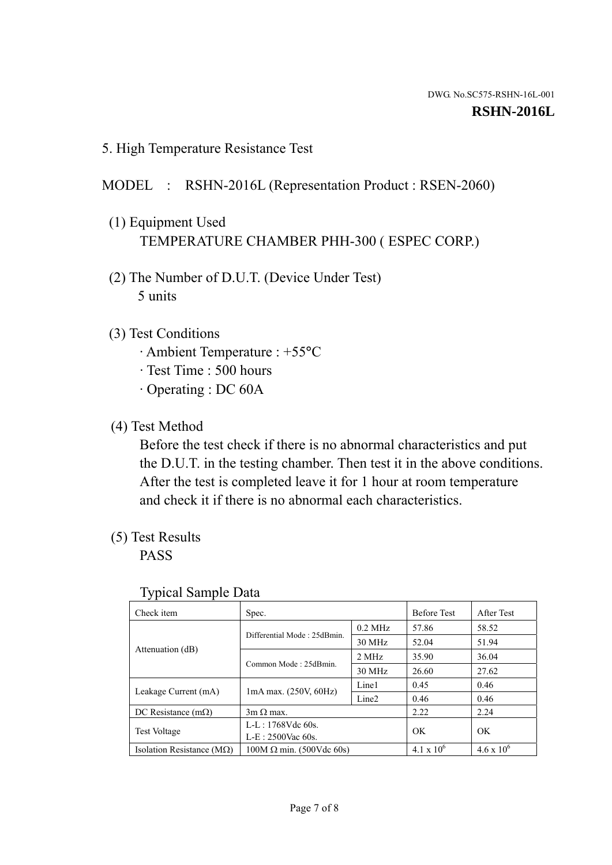5. High Temperature Resistance Test

# MODEL : RSHN-2016L (Representation Product : RSEN-2060)

- (1) Equipment Used TEMPERATURE CHAMBER PHH-300 ( ESPEC CORP.)
- (2) The Number of D.U.T. (Device Under Test) 5 units
- (3) Test Conditions
	- · Ambient Temperature : +55°C
	- · Test Time : 500 hours
	- · Operating : DC 60A
- (4) Test Method

 Before the test check if there is no abnormal characteristics and put the D.U.T. in the testing chamber. Then test it in the above conditions. After the test is completed leave it for 1 hour at room temperature and check it if there is no abnormal each characteristics.

(5) Test Results

PASS

| J 1                                |                                 |                   |                     |                     |
|------------------------------------|---------------------------------|-------------------|---------------------|---------------------|
| Check item                         | Spec.                           |                   | <b>Before Test</b>  | After Test          |
|                                    | Differential Mode: 25dBmin.     | $0.2$ MHz         | 57.86               | 58.52               |
|                                    |                                 | 30 MHz            | 52.04               | 51.94               |
| Attenuation (dB)                   | Common Mode: 25dBmin.           | 2 MHz             | 35.90               | 36.04               |
|                                    |                                 | 30 MHz            | 26.60               | 27.62               |
| Leakage Current (mA)               | $1mA$ max. $(250V, 60Hz)$       | Line1             | 0.45                | 0.46                |
|                                    |                                 | Line <sub>2</sub> | 0.46                | 0.46                |
| DC Resistance $(m\Omega)$          | $3m \Omega$ max.                |                   | 2.22                | 2.24                |
| <b>Test Voltage</b>                | $L-L: 1768Vdc$ 60s.             |                   | OK                  | OK                  |
|                                    | $L-E: 2500$ Vac 60s.            |                   |                     |                     |
| Isolation Resistance ( $M\Omega$ ) | $100M \Omega$ min. (500Vdc 60s) |                   | $4.1 \times 10^{6}$ | $4.6 \times 10^{6}$ |

#### Typical Sample Data